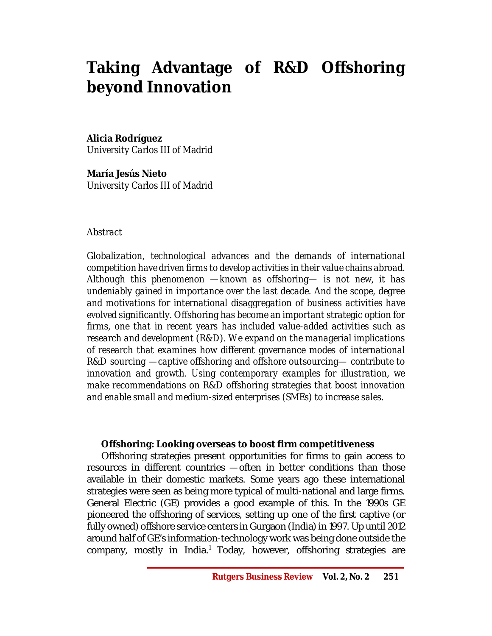# **Taking Advantage of R&D Offshoring beyond Innovation**

# **Alicia Rodríguez**

*University Carlos III of Madrid*

**María Jesús Nieto**  *University Carlos III of Madrid*

#### *Abstract*

*Globalization, technological advances and the demands of international competition have driven firms to develop activities in their value chains abroad. Although this phenomenon —known as offshoring— is not new, it has undeniably gained in importance over the last decade. And the scope, degree and motivations for international disaggregation of business activities have evolved significantly. Offshoring has become an important strategic option for firms, one that in recent years has included value-added activities such as research and development (R&D). We expand on the managerial implications of research that examines how different governance modes of international R&D sourcing —captive offshoring and offshore outsourcing— contribute to innovation and growth. Using contemporary examples for illustration, we make recommendations on R&D offshoring strategies that boost innovation and enable small and medium-sized enterprises (SMEs) to increase sales.*

# **Offshoring: Looking overseas to boost firm competitiveness**

Offshoring strategies present opportunities for firms to gain access to resources in different countries *—*often in better conditions than those available in their domestic markets. Some years ago these international strategies were seen as being more typical of multi-national and large firms. General Electric (GE) provides a good example of this. In the 1990s GE pioneered the offshoring of services, setting up one of the first captive (or fully owned) offshore service centers in Gurgaon (India) in 1997. Up until 2012 around half of GE's information-technology work was being done outside the company, mostly in India.<sup>1</sup> Today, however, offshoring strategies are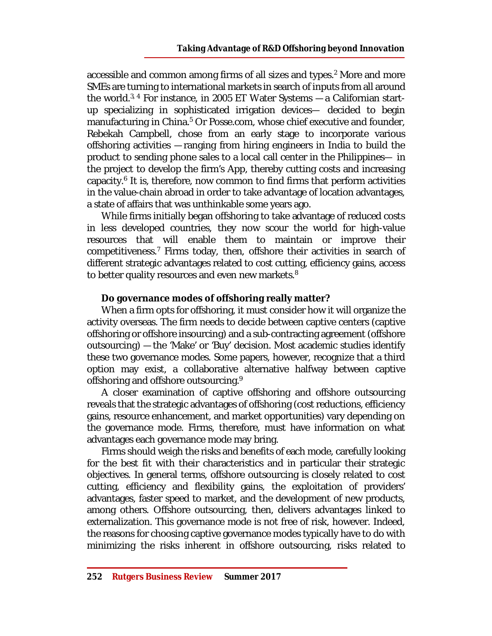accessible and common among firms of all sizes and types.<sup>2</sup> More and more SMEs are turning to international markets in search of inputs from all around the world.3, 4 For instance, in 2005 ET Water Systems *—*a Californian startup specializing in sophisticated irrigation devices*—* decided to begin manufacturing in China.<sup>5</sup> Or Posse.com, whose chief executive and founder, Rebekah Campbell, chose from an early stage to incorporate various offshoring activities *—*ranging from hiring engineers in India to build the product to sending phone sales to a local call center in the Philippines*—* in the project to develop the firm's App, thereby cutting costs and increasing capacity.<sup>6</sup> It is, therefore, now common to find firms that perform activities in the value-chain abroad in order to take advantage of location advantages, a state of affairs that was unthinkable some years ago.

While firms initially began offshoring to take advantage of reduced costs in less developed countries, they now scour the world for high-value resources that will enable them to maintain or improve their competitiveness.<sup>7</sup> Firms today, then, offshore their activities in search of different strategic advantages related to cost cutting, efficiency gains, access to better quality resources and even new markets.<sup>8</sup>

# **Do governance modes of offshoring really matter?**

When a firm opts for offshoring, it must consider how it will organize the activity overseas. The firm needs to decide between captive centers (captive offshoring or offshore insourcing) and a sub-contracting agreement (offshore outsourcing) *—*the 'Make' or 'Buy' decision. Most academic studies identify these two governance modes. Some papers, however, recognize that a third option may exist, a collaborative alternative halfway between captive offshoring and offshore outsourcing.<sup>9</sup>

A closer examination of captive offshoring and offshore outsourcing reveals that the strategic advantages of offshoring (cost reductions, efficiency gains, resource enhancement, and market opportunities) vary depending on the governance mode. Firms, therefore, must have information on what advantages each governance mode may bring.

Firms should weigh the risks and benefits of each mode, carefully looking for the best fit with their characteristics and in particular their strategic objectives. In general terms, offshore outsourcing is closely related to cost cutting, efficiency and flexibility gains, the exploitation of providers' advantages, faster speed to market, and the development of new products, among others. Offshore outsourcing, then, delivers advantages linked to externalization. This governance mode is not free of risk, however. Indeed, the reasons for choosing captive governance modes typically have to do with minimizing the risks inherent in offshore outsourcing, risks related to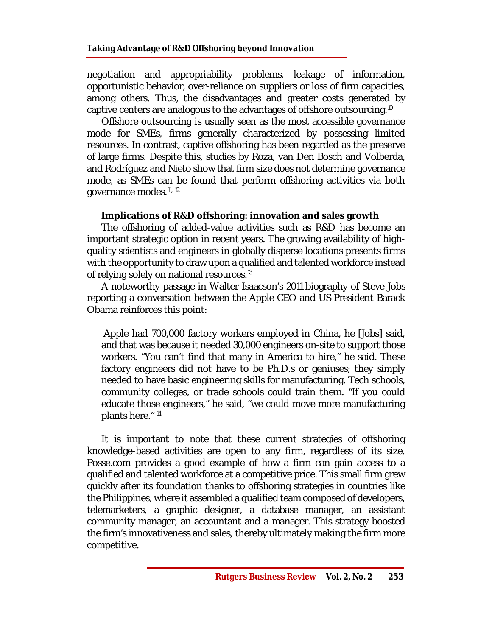negotiation and appropriability problems, leakage of information, opportunistic behavior, over-reliance on suppliers or loss of firm capacities, among others. Thus, the disadvantages and greater costs generated by captive centers are analogous to the advantages of offshore outsourcing.<sup>10</sup>

Offshore outsourcing is usually seen as the most accessible governance mode for SMEs, firms generally characterized by possessing limited resources. In contrast, captive offshoring has been regarded as the preserve of large firms. Despite this, studies by Roza, van Den Bosch and Volberda, and Rodríguez and Nieto show that firm size does not determine governance mode, as SMEs can be found that perform offshoring activities via both governance modes.<sup>11, 12</sup>

# **Implications of R&D offshoring: innovation and sales growth**

The offshoring of added-value activities such as R&D has become an important strategic option in recent years. The growing availability of highquality scientists and engineers in globally disperse locations presents firms with the opportunity to draw upon a qualified and talented workforce instead of relying solely on national resources.<sup>13</sup>

A noteworthy passage in Walter Isaacson's 2011 biography of Steve Jobs reporting a conversation between the Apple CEO and US President Barack Obama reinforces this point:

Apple had 700,000 factory workers employed in China, he [Jobs] said, and that was because it needed 30,000 engineers on-site to support those workers. "You can't find that many in America to hire," he said. These factory engineers did not have to be Ph.D.s or geniuses; they simply needed to have basic engineering skills for manufacturing. Tech schools, community colleges, or trade schools could train them. "If you could educate those engineers," he said, "we could move more manufacturing plants here." *14*

It is important to note that these current strategies of offshoring knowledge-based activities are open to any firm, regardless of its size. Posse.com provides a good example of how a firm can gain access to a qualified and talented workforce at a competitive price. This small firm grew quickly after its foundation thanks to offshoring strategies in countries like the Philippines, where it assembled a qualified team composed of developers, telemarketers, a graphic designer, a database manager, an assistant community manager, an accountant and a manager. This strategy boosted the firm's innovativeness and sales, thereby ultimately making the firm more competitive.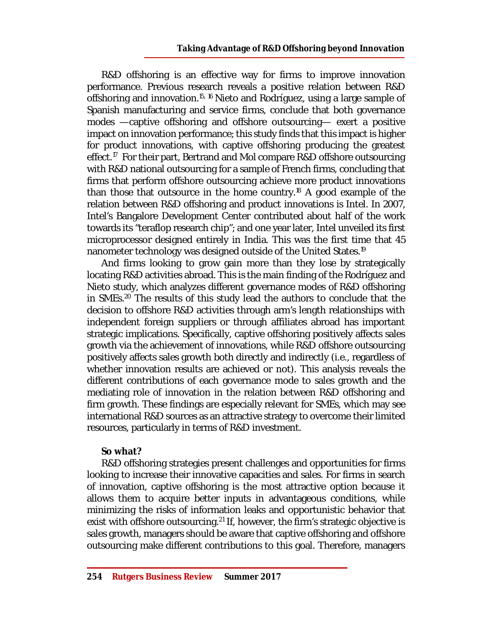R&D offshoring is an effective way for firms to improve innovation performance. Previous research reveals a positive relation between R&D offshoring and innovation.<sup>15, 16</sup> Nieto and Rodríguez, using a large sample of Spanish manufacturing and service firms, conclude that both governance modes —captive offshoring and offshore outsourcing— exert a positive impact on innovation performance; this study finds that this impact is higher for product innovations, with captive offshoring producing the greatest effect.<sup>17</sup> For their part, Bertrand and Mol compare R&D offshore outsourcing with R&D national outsourcing for a sample of French firms, concluding that firms that perform offshore outsourcing achieve more product innovations than those that outsource in the home country.<sup>18</sup> A good example of the relation between R&D offshoring and product innovations is Intel. In 2007, Intel's Bangalore Development Center contributed about half of the work towards its "teraflop research chip"; and one year later, Intel unveiled its first microprocessor designed entirely in India. This was the first time that 45 nanometer technology was designed outside of the United States.<sup>19</sup>

And firms looking to grow gain more than they lose by strategically locating R&D activities abroad. This is the main finding of the Rodríguez and Nieto study, which analyzes different governance modes of R&D offshoring in SMEs.<sup>20</sup> The results of this study lead the authors to conclude that the decision to offshore R&D activities through arm's length relationships with independent foreign suppliers or through affiliates abroad has important strategic implications. Specifically, captive offshoring positively affects sales growth via the achievement of innovations, while R&D offshore outsourcing positively affects sales growth both directly and indirectly (i.e., regardless of whether innovation results are achieved or not). This analysis reveals the different contributions of each governance mode to sales growth and the mediating role of innovation in the relation between R&D offshoring and firm growth. These findings are especially relevant for SMEs, which may see international R&D sources as an attractive strategy to overcome their limited resources, particularly in terms of R&D investment.

#### **So what?**

R&D offshoring strategies present challenges and opportunities for firms looking to increase their innovative capacities and sales. For firms in search of innovation, captive offshoring is the most attractive option because it allows them to acquire better inputs in advantageous conditions, while minimizing the risks of information leaks and opportunistic behavior that exist with offshore outsourcing.<sup>21</sup> If, however, the firm's strategic objective is sales growth, managers should be aware that captive offshoring and offshore outsourcing make different contributions to this goal. Therefore, managers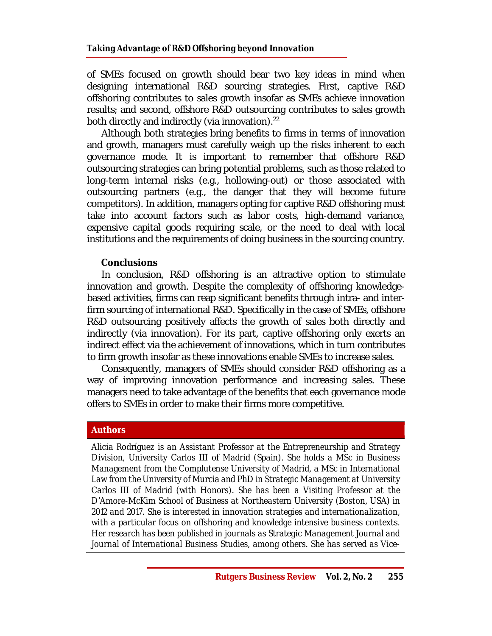of SMEs focused on growth should bear two key ideas in mind when designing international R&D sourcing strategies. First, captive R&D offshoring contributes to sales growth insofar as SMEs achieve innovation results; and second, offshore R&D outsourcing contributes to sales growth both directly and indirectly (via innovation). $^{22}$ 

Although both strategies bring benefits to firms in terms of innovation and growth, managers must carefully weigh up the risks inherent to each governance mode. It is important to remember that offshore R&D outsourcing strategies can bring potential problems, such as those related to long-term internal risks (e.g., hollowing-out) or those associated with outsourcing partners (e.g., the danger that they will become future competitors). In addition, managers opting for captive R&D offshoring must take into account factors such as labor costs, high-demand variance, expensive capital goods requiring scale, or the need to deal with local institutions and the requirements of doing business in the sourcing country.

#### **Conclusions**

In conclusion, R&D offshoring is an attractive option to stimulate innovation and growth. Despite the complexity of offshoring knowledgebased activities, firms can reap significant benefits through intra- and interfirm sourcing of international R&D. Specifically in the case of SMEs, offshore R&D outsourcing positively affects the growth of sales both directly and indirectly (via innovation). For its part, captive offshoring only exerts an indirect effect via the achievement of innovations, which in turn contributes to firm growth insofar as these innovations enable SMEs to increase sales.

Consequently, managers of SMEs should consider R&D offshoring as a way of improving innovation performance and increasing sales. These managers need to take advantage of the benefits that each governance mode offers to SMEs in order to make their firms more competitive.

#### **Authors**

*Alicia Rodríguez is an Assistant Professor at the Entrepreneurship and Strategy Division, University Carlos III of Madrid (Spain). She holds a MSc in Business Management from the Complutense University of Madrid, a MSc in International Law from the University of Murcia and PhD in Strategic Management at University Carlos III of Madrid (with Honors). She has been a Visiting Professor at the D'Amore-McKim School of Business at Northeastern University (Boston, USA) in 2012 and 2017. She is interested in innovation strategies and internationalization, with a particular focus on offshoring and knowledge intensive business contexts. Her research has been published in journals as Strategic Management Journal and Journal of International Business Studies, among others. She has served as Vice-*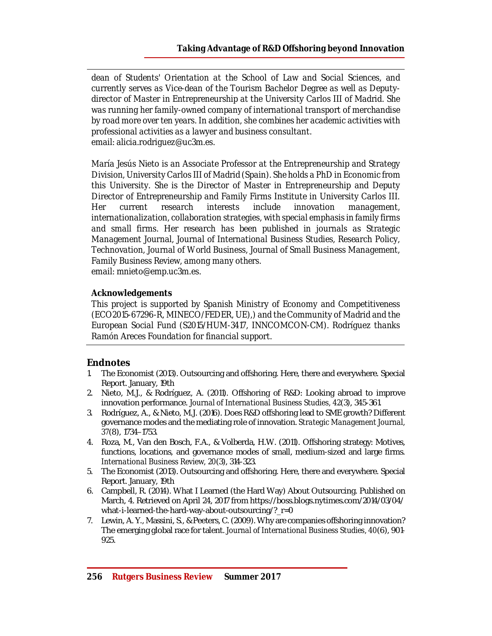*dean of Students' Orientation at the School of Law and Social Sciences, and currently serves as Vice-dean of the Tourism Bachelor Degree as well as Deputydirector of Master in Entrepreneurship at the University Carlos III of Madrid. She was running her family-owned company of international transport of merchandise by road more over ten years. In addition, she combines her academic activities with professional activities as a lawyer and business consultant. email: [alicia.rodriguez@uc3m.es.](mailto:alicia.rodriguez@uc3m.es.)* 

*María Jesús Nieto is an Associate Professor at the Entrepreneurship and Strategy Division, University Carlos III of Madrid (Spain). She holds a PhD in Economic from this University. She is the Director of Master in Entrepreneurship and Deputy Director of Entrepreneurship and Family Firms Institute in University Carlos III. Her current research interests include innovation management, internationalization, collaboration strategies, with special emphasis in family firms and small firms. Her research has been published in journals as Strategic Management Journal, Journal of International Business Studies, Research Policy, Technovation, Journal of World Business, Journal of Small Business Management, Family Business Review, among many others.* 

*email: [mnieto@emp.uc3m.es.](mailto:mnieto@emp.uc3m.es.)* 

#### *Acknowledgements*

*This project is supported by Spanish Ministry of Economy and Competitiveness (ECO2015-67296-R, MINECO/FEDER, UE),) and the Community of Madrid and the European Social Fund (S2015/HUM-3417, INNCOMCON-CM). Rodríguez thanks Ramón Areces Foundation for financial support.*

# **Endnotes**

- 1. The Economist (2013). Outsourcing and offshoring. Here, there and everywhere. Special Report. January, 19th
- 2. Nieto, M.J., & Rodríguez, A. (2011). Offshoring of R&D: Looking abroad to improve innovation performance. *Journal of International Business Studies, 42*(3), 345-361.
- 3. Rodríguez, A., & Nieto, M.J. (2016). Does R&D offshoring lead to SME growth? Different governance modes and the mediating role of innovation. *Strategic Management Journal, 37*(8), 1734–1753.
- 4. Roza, M., Van den Bosch, F.A., & Volberda, H.W. (2011). Offshoring strategy: Motives, functions, locations, and governance modes of small, medium-sized and large firms. *International Business Review, 20*(3), 314-323.
- 5. The Economist (2013). Outsourcing and offshoring. Here, there and everywhere. Special Report. January, 19th
- 6. Campbell, R. (2014). What I Learned (the Hard Way) About Outsourcing. Published on March, 4. Retrieved on April 24, 2017 from <https://boss.blogs.nytimes.com/2014/03/04/> what-i-learned-the-hard-way-about-outsourcing/? r=0
- 7. Lewin, A. Y., Massini, S., & Peeters, C. (2009). Why are companies offshoring innovation? The emerging global race for talent. *Journal of International Business Studies, 40*(6), 901- 925.